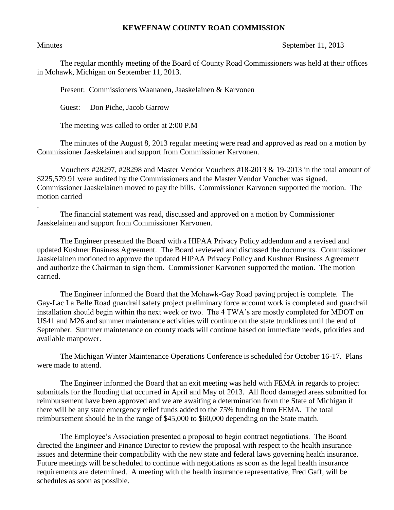## **KEWEENAW COUNTY ROAD COMMISSION**

.

## Minutes September 11, 2013

The regular monthly meeting of the Board of County Road Commissioners was held at their offices in Mohawk, Michigan on September 11, 2013.

Present: Commissioners Waananen, Jaaskelainen & Karvonen

Guest: Don Piche, Jacob Garrow

The meeting was called to order at 2:00 P.M

The minutes of the August 8, 2013 regular meeting were read and approved as read on a motion by Commissioner Jaaskelainen and support from Commissioner Karvonen.

Vouchers #28297, #28298 and Master Vendor Vouchers #18-2013 & 19-2013 in the total amount of \$225,579.91 were audited by the Commissioners and the Master Vendor Voucher was signed. Commissioner Jaaskelainen moved to pay the bills. Commissioner Karvonen supported the motion. The motion carried

The financial statement was read, discussed and approved on a motion by Commissioner Jaaskelainen and support from Commissioner Karvonen.

The Engineer presented the Board with a HIPAA Privacy Policy addendum and a revised and updated Kushner Business Agreement. The Board reviewed and discussed the documents. Commissioner Jaaskelainen motioned to approve the updated HIPAA Privacy Policy and Kushner Business Agreement and authorize the Chairman to sign them. Commissioner Karvonen supported the motion. The motion carried.

The Engineer informed the Board that the Mohawk-Gay Road paving project is complete. The Gay-Lac La Belle Road guardrail safety project preliminary force account work is completed and guardrail installation should begin within the next week or two. The 4 TWA's are mostly completed for MDOT on US41 and M26 and summer maintenance activities will continue on the state trunklines until the end of September. Summer maintenance on county roads will continue based on immediate needs, priorities and available manpower.

The Michigan Winter Maintenance Operations Conference is scheduled for October 16-17. Plans were made to attend.

The Engineer informed the Board that an exit meeting was held with FEMA in regards to project submittals for the flooding that occurred in April and May of 2013. All flood damaged areas submitted for reimbursement have been approved and we are awaiting a determination from the State of Michigan if there will be any state emergency relief funds added to the 75% funding from FEMA. The total reimbursement should be in the range of \$45,000 to \$60,000 depending on the State match.

The Employee's Association presented a proposal to begin contract negotiations. The Board directed the Engineer and Finance Director to review the proposal with respect to the health insurance issues and determine their compatibility with the new state and federal laws governing health insurance. Future meetings will be scheduled to continue with negotiations as soon as the legal health insurance requirements are determined. A meeting with the health insurance representative, Fred Gaff, will be schedules as soon as possible.